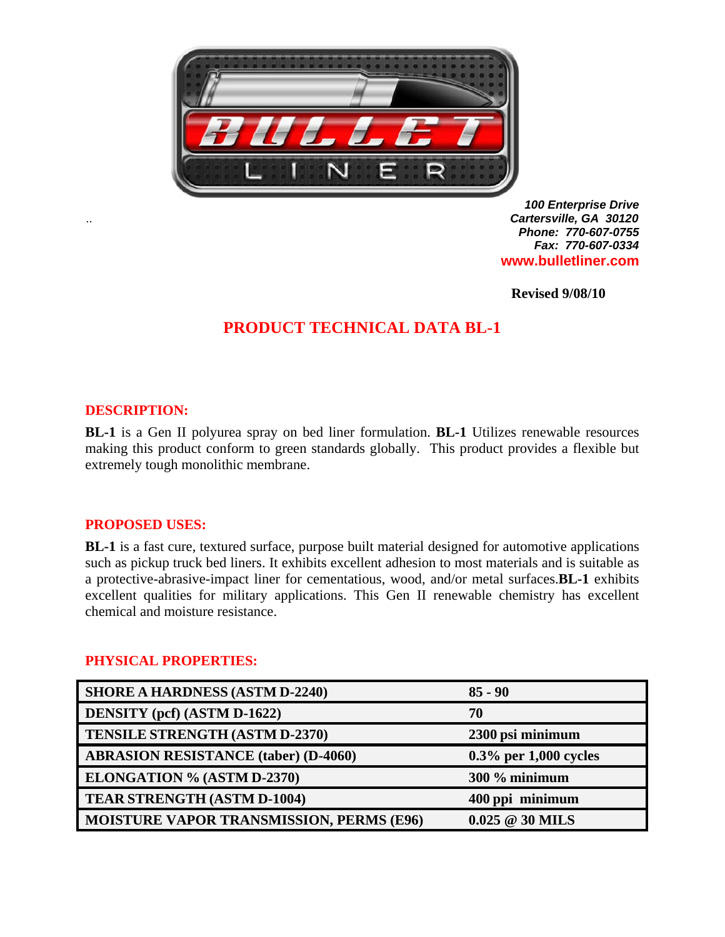

*100 Enterprise Drive*  .. *Cartersville, GA 30120 Phone: 770-607-0755 Fax: 770-607-0334* **www.bulletliner.com** 

**Revised 9/08/10** 

## **PRODUCT TECHNICAL DATA BL-1**

### **DESCRIPTION:**

**BL-1** is a Gen II polyurea spray on bed liner formulation. **BL-1** Utilizes renewable resources making this product conform to green standards globally. This product provides a flexible but extremely tough monolithic membrane.

#### **PROPOSED USES:**

**BL-1** is a fast cure, textured surface, purpose built material designed for automotive applications such as pickup truck bed liners. It exhibits excellent adhesion to most materials and is suitable as a protective-abrasive-impact liner for cementatious, wood, and/or metal surfaces.**BL-1** exhibits excellent qualities for military applications. This Gen II renewable chemistry has excellent chemical and moisture resistance.

#### **PHYSICAL PROPERTIES:**

| <b>SHORE A HARDNESS (ASTM D-2240)</b>           | $85 - 90$                     |
|-------------------------------------------------|-------------------------------|
| <b>DENSITY</b> (pcf) (ASTM D-1622)              | 70                            |
| <b>TENSILE STRENGTH (ASTM D-2370)</b>           | 2300 psi minimum              |
| <b>ABRASION RESISTANCE (taber) (D-4060)</b>     | $0.3\%$ per 1,000 cycles      |
| ELONGATION % (ASTM D-2370)                      | 300 % minimum                 |
| <b>TEAR STRENGTH (ASTM D-1004)</b>              | 400 ppi minimum               |
| <b>MOISTURE VAPOR TRANSMISSION, PERMS (E96)</b> | $0.025 \ @ \ 30 \text{ MILS}$ |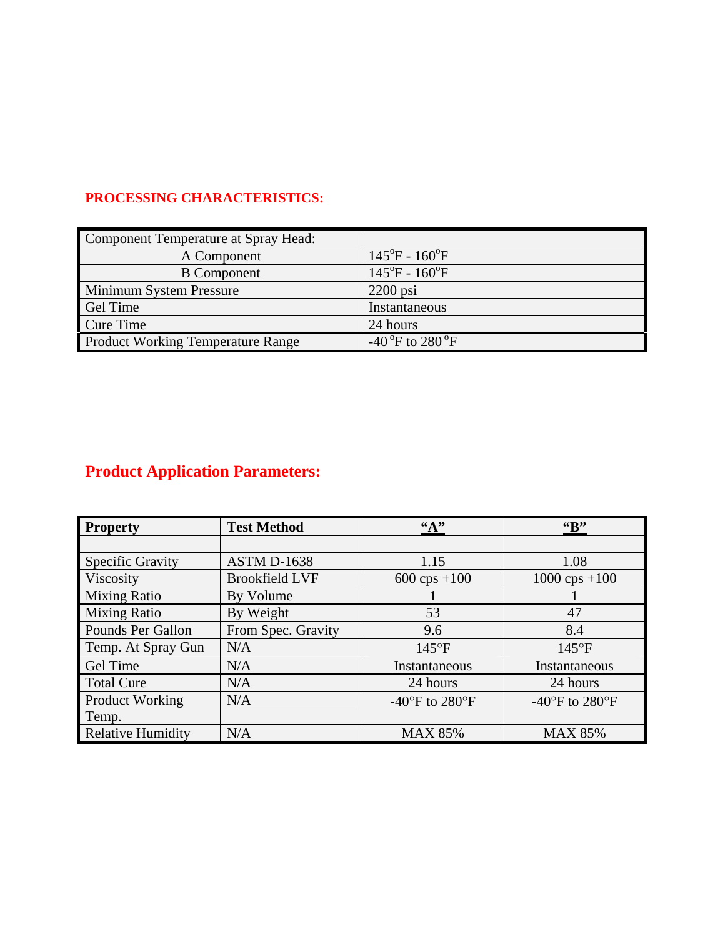## **PROCESSING CHARACTERISTICS:**

| Component Temperature at Spray Head:     |                                          |
|------------------------------------------|------------------------------------------|
| A Component                              | $145^{\circ}F - 160^{\circ}F$            |
| <b>B</b> Component                       | $145^{\circ}F - 160^{\circ}F$            |
| <b>Minimum System Pressure</b>           | $2200$ psi                               |
| <b>Gel Time</b>                          | Instantaneous                            |
| Cure Time                                | 24 hours                                 |
| <b>Product Working Temperature Range</b> | -40 $\mathrm{^oF}$ to 280 $\mathrm{^oF}$ |

# **Product Application Parameters:**

| <b>Property</b>          | <b>Test Method</b>    | $\mathbf{A}$                                         | $G_{\mathbf{B}}^{\prime\prime}$                      |
|--------------------------|-----------------------|------------------------------------------------------|------------------------------------------------------|
|                          |                       |                                                      |                                                      |
| <b>Specific Gravity</b>  | <b>ASTM D-1638</b>    | 1.15                                                 | 1.08                                                 |
| Viscosity                | <b>Brookfield LVF</b> | $600 \text{cps} + 100$                               | $1000 \text{cps} + 100$                              |
| <b>Mixing Ratio</b>      | By Volume             |                                                      |                                                      |
| <b>Mixing Ratio</b>      | By Weight             | 53                                                   | 47                                                   |
| Pounds Per Gallon        | From Spec. Gravity    | 9.6                                                  | 8.4                                                  |
| Temp. At Spray Gun       | N/A                   | $145^{\circ}F$                                       | $145^{\circ}F$                                       |
| <b>Gel Time</b>          | N/A                   | Instantaneous                                        | Instantaneous                                        |
| <b>Total Cure</b>        | N/A                   | 24 hours                                             | 24 hours                                             |
| <b>Product Working</b>   | N/A                   | -40 $\mathrm{^{\circ}F}$ to 280 $\mathrm{^{\circ}F}$ | -40 $\mathrm{^{\circ}F}$ to 280 $\mathrm{^{\circ}F}$ |
| Temp.                    |                       |                                                      |                                                      |
| <b>Relative Humidity</b> | N/A                   | <b>MAX 85%</b>                                       | <b>MAX 85%</b>                                       |